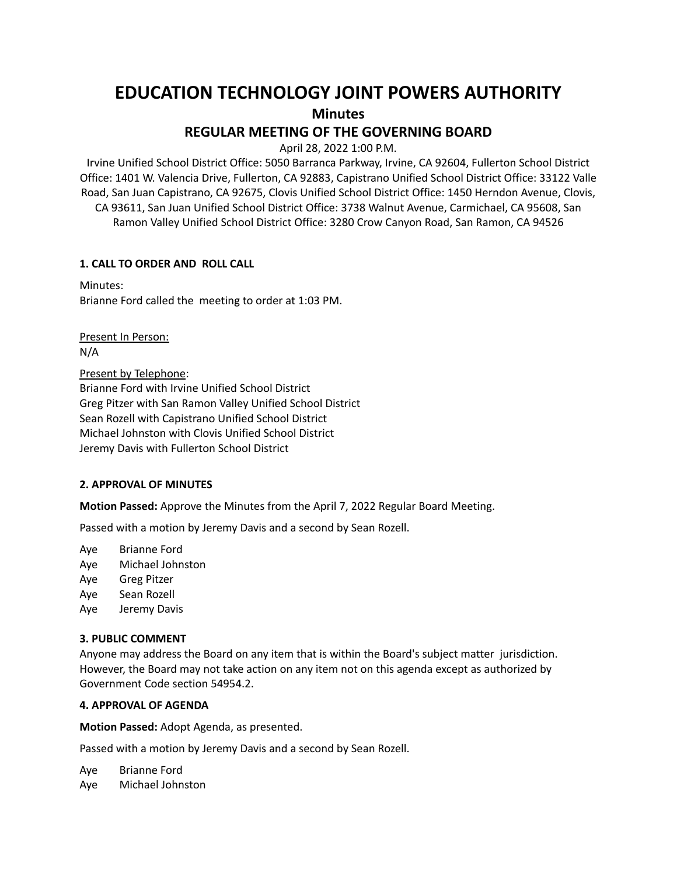# **EDUCATION TECHNOLOGY JOINT POWERS AUTHORITY**

**Minutes**

## **REGULAR MEETING OF THE GOVERNING BOARD**

April 28, 2022 1:00 P.M.

Irvine Unified School District Office: 5050 Barranca Parkway, Irvine, CA 92604, Fullerton School District Office: 1401 W. Valencia Drive, Fullerton, CA 92883, Capistrano Unified School District Office: 33122 Valle Road, San Juan Capistrano, CA 92675, Clovis Unified School District Office: 1450 Herndon Avenue, Clovis, CA 93611, San Juan Unified School District Office: 3738 Walnut Avenue, Carmichael, CA 95608, San Ramon Valley Unified School District Office: 3280 Crow Canyon Road, San Ramon, CA 94526

## **1. CALL TO ORDER AND ROLL CALL**

Minutes: Brianne Ford called the meeting to order at 1:03 PM.

Present In Person: N/A

Present by Telephone:

Brianne Ford with Irvine Unified School District Greg Pitzer with San Ramon Valley Unified School District Sean Rozell with Capistrano Unified School District Michael Johnston with Clovis Unified School District Jeremy Davis with Fullerton School District

#### **2. APPROVAL OF MINUTES**

**Motion Passed:** Approve the Minutes from the April 7, 2022 Regular Board Meeting.

Passed with a motion by Jeremy Davis and a second by Sean Rozell.

Aye Brianne Ford

- Aye Michael Johnston
- Aye Greg Pitzer
- Aye Sean Rozell
- Aye Jeremy Davis

#### **3. PUBLIC COMMENT**

Anyone may address the Board on any item that is within the Board's subject matter jurisdiction. However, the Board may not take action on any item not on this agenda except as authorized by Government Code section 54954.2.

## **4. APPROVAL OF AGENDA**

**Motion Passed:** Adopt Agenda, as presented.

Passed with a motion by Jeremy Davis and a second by Sean Rozell.

Aye Brianne Ford Aye Michael Johnston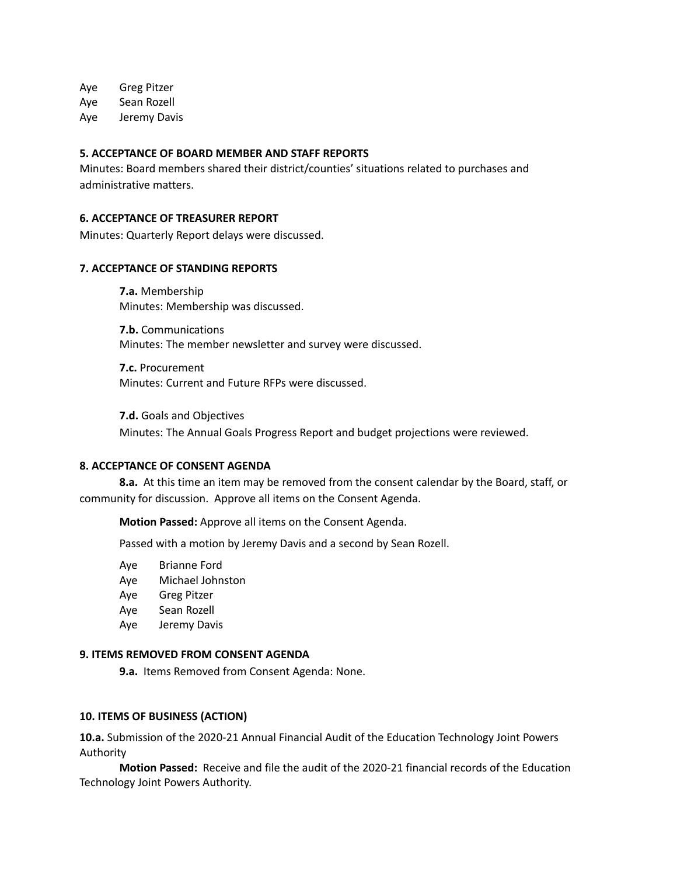Aye Greg Pitzer

Aye Sean Rozell

Aye Jeremy Davis

#### **5. ACCEPTANCE OF BOARD MEMBER AND STAFF REPORTS**

Minutes: Board members shared their district/counties' situations related to purchases and administrative matters.

#### **6. ACCEPTANCE OF TREASURER REPORT**

Minutes: Quarterly Report delays were discussed.

#### **7. ACCEPTANCE OF STANDING REPORTS**

**7.a.** Membership Minutes: Membership was discussed.

**7.b.** Communications Minutes: The member newsletter and survey were discussed.

**7.c.** Procurement Minutes: Current and Future RFPs were discussed.

**7.d.** Goals and Objectives Minutes: The Annual Goals Progress Report and budget projections were reviewed.

#### **8. ACCEPTANCE OF CONSENT AGENDA**

**8.a.** At this time an item may be removed from the consent calendar by the Board, staff, or community for discussion. Approve all items on the Consent Agenda.

**Motion Passed:** Approve all items on the Consent Agenda.

Passed with a motion by Jeremy Davis and a second by Sean Rozell.

- Aye Brianne Ford
- Aye Michael Johnston
- Aye Greg Pitzer
- Aye Sean Rozell
- Aye Jeremy Davis

#### **9. ITEMS REMOVED FROM CONSENT AGENDA**

**9.a.** Items Removed from Consent Agenda: None.

#### **10. ITEMS OF BUSINESS (ACTION)**

**10.a.** Submission of the 2020-21 Annual Financial Audit of the Education Technology Joint Powers Authority

**Motion Passed:** Receive and file the audit of the 2020-21 financial records of the Education Technology Joint Powers Authority.